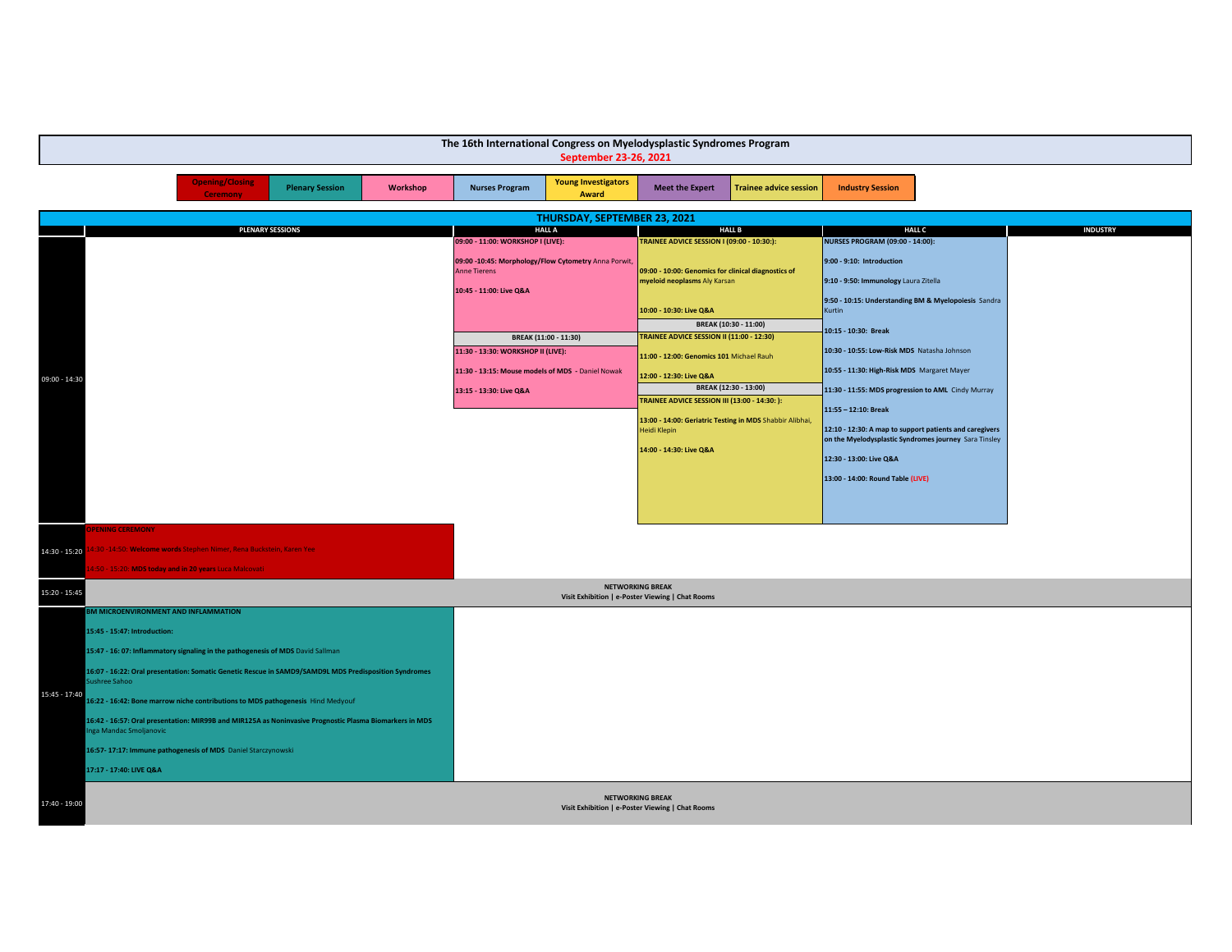| The 16th International Congress on Myelodysplastic Syndromes Program<br>September 23-26, 2021 |                                                                                                                                    |                                                                                                        |                                                                                     |                                                          |                                                                                                                  |                 |
|-----------------------------------------------------------------------------------------------|------------------------------------------------------------------------------------------------------------------------------------|--------------------------------------------------------------------------------------------------------|-------------------------------------------------------------------------------------|----------------------------------------------------------|------------------------------------------------------------------------------------------------------------------|-----------------|
|                                                                                               | <b>Opening/Closing</b><br><b>Plenary Session</b><br>Workshop<br><b>Ceremony</b>                                                    | <b>Young Investigators</b><br><b>Nurses Program</b><br>Award                                           | <b>Meet the Expert</b>                                                              | <b>Trainee advice session</b>                            | <b>Industry Session</b>                                                                                          |                 |
|                                                                                               |                                                                                                                                    | THURSDAY, SEPTEMBER 23, 2021                                                                           |                                                                                     |                                                          |                                                                                                                  |                 |
|                                                                                               | <b>PLENARY SESSIONS</b>                                                                                                            | <b>HALL A</b><br>09:00 - 11:00: WORKSHOP I (LIVE):                                                     | TRAINEE ADVICE SESSION I (09:00 - 10:30:):                                          | <b>HALL B</b>                                            | <b>HALL C</b><br><b>NURSES PROGRAM (09:00 - 14:00):</b>                                                          | <b>INDUSTRY</b> |
|                                                                                               |                                                                                                                                    | 09:00 -10:45: Morphology/Flow Cytometry Anna Porwit,<br><b>Anne Tierens</b><br>10:45 - 11:00: Live Q&A | 09:00 - 10:00: Genomics for clinical diagnostics of<br>myeloid neoplasms Aly Karsan |                                                          | 9:00 - 9:10: Introduction<br>9:10 - 9:50: Immunology Laura Zitella                                               |                 |
|                                                                                               |                                                                                                                                    |                                                                                                        | 10:00 - 10:30: Live Q&A                                                             | BREAK (10:30 - 11:00)                                    | 9:50 - 10:15: Understanding BM & Myelopoiesis Sandra<br><b>Kurtin</b>                                            |                 |
|                                                                                               |                                                                                                                                    | BREAK (11:00 - 11:30)                                                                                  | TRAINEE ADVICE SESSION II (11:00 - 12:30)                                           |                                                          | 10:15 - 10:30: Break                                                                                             |                 |
|                                                                                               |                                                                                                                                    | 11:30 - 13:30: WORKSHOP II (LIVE):                                                                     | 11:00 - 12:00: Genomics 101 Michael Rauh                                            |                                                          | 10:30 - 10:55: Low-Risk MDS Natasha Johnson                                                                      |                 |
| 09:00 - 14:30                                                                                 |                                                                                                                                    | 11:30 - 13:15: Mouse models of MDS - Daniel Nowak                                                      | 12:00 - 12:30: Live Q&A                                                             |                                                          | 10:55 - 11:30: High-Risk MDS Margaret Mayer                                                                      |                 |
|                                                                                               |                                                                                                                                    | 13:15 - 13:30: Live Q&A                                                                                | <b>TRAINEE ADVICE SESSION III (13:00 - 14:30: ):</b>                                | BREAK (12:30 - 13:00)                                    | 11:30 - 11:55: MDS progression to AML Cindy Murray                                                               |                 |
|                                                                                               |                                                                                                                                    |                                                                                                        |                                                                                     | 13:00 - 14:00: Geriatric Testing in MDS Shabbir Alibhai, | 11:55 - 12:10: Break                                                                                             |                 |
|                                                                                               |                                                                                                                                    |                                                                                                        | Heidi Klepin                                                                        |                                                          | 12:10 - 12:30: A map to support patients and caregivers<br>on the Myelodysplastic Syndromes journey Sara Tinsley |                 |
|                                                                                               |                                                                                                                                    |                                                                                                        | 14:00 - 14:30: Live Q&A                                                             |                                                          |                                                                                                                  |                 |
|                                                                                               |                                                                                                                                    |                                                                                                        |                                                                                     |                                                          | 12:30 - 13:00: Live Q&A                                                                                          |                 |
|                                                                                               |                                                                                                                                    |                                                                                                        |                                                                                     |                                                          | 13:00 - 14:00: Round Table (LIVE)                                                                                |                 |
|                                                                                               |                                                                                                                                    |                                                                                                        |                                                                                     |                                                          |                                                                                                                  |                 |
|                                                                                               | <b>PENING CEREMONY</b>                                                                                                             |                                                                                                        |                                                                                     |                                                          |                                                                                                                  |                 |
| 14:30 - 15:20                                                                                 | 4:30 -14:50: Welcome words Stephen Nimer, Rena Buckstein, Karen Yee                                                                |                                                                                                        |                                                                                     |                                                          |                                                                                                                  |                 |
|                                                                                               | 1:50 - 15:20: MDS today and in 20 years Luca Malcovati                                                                             |                                                                                                        |                                                                                     |                                                          |                                                                                                                  |                 |
| 15:20 - 15:45                                                                                 |                                                                                                                                    |                                                                                                        | <b>NETWORKING BREAK</b>                                                             |                                                          |                                                                                                                  |                 |
|                                                                                               | BM MICROENVIRONMENT AND INFLAMMATION                                                                                               |                                                                                                        | Visit Exhibition   e-Poster Viewing   Chat Rooms                                    |                                                          |                                                                                                                  |                 |
|                                                                                               | 15:45 - 15:47: Introduction:                                                                                                       |                                                                                                        |                                                                                     |                                                          |                                                                                                                  |                 |
|                                                                                               | 15:47 - 16: 07: Inflammatory signaling in the pathogenesis of MDS David Sallman                                                    |                                                                                                        |                                                                                     |                                                          |                                                                                                                  |                 |
|                                                                                               | 16:07 - 16:22: Oral presentation: Somatic Genetic Rescue in SAMD9/SAMD9L MDS Predisposition Syndromes                              |                                                                                                        |                                                                                     |                                                          |                                                                                                                  |                 |
|                                                                                               | Sushree Sahoo                                                                                                                      |                                                                                                        |                                                                                     |                                                          |                                                                                                                  |                 |
| 15:45 - 17:40                                                                                 | 16:22 - 16:42: Bone marrow niche contributions to MDS pathogenesis Hind Medyouf                                                    |                                                                                                        |                                                                                     |                                                          |                                                                                                                  |                 |
|                                                                                               | 16:42 - 16:57: Oral presentation: MIR99B and MIR125A as Noninvasive Prognostic Plasma Biomarkers in MDS<br>Inga Mandac Smoljanovic |                                                                                                        |                                                                                     |                                                          |                                                                                                                  |                 |
|                                                                                               | 16:57-17:17: Immune pathogenesis of MDS Daniel Starczynowski                                                                       |                                                                                                        |                                                                                     |                                                          |                                                                                                                  |                 |
|                                                                                               | 17:17 - 17:40: LIVE Q&A                                                                                                            |                                                                                                        |                                                                                     |                                                          |                                                                                                                  |                 |
| 17:40 - 19:00                                                                                 |                                                                                                                                    |                                                                                                        | <b>NETWORKING BREAK</b><br>Visit Exhibition   e-Poster Viewing   Chat Rooms         |                                                          |                                                                                                                  |                 |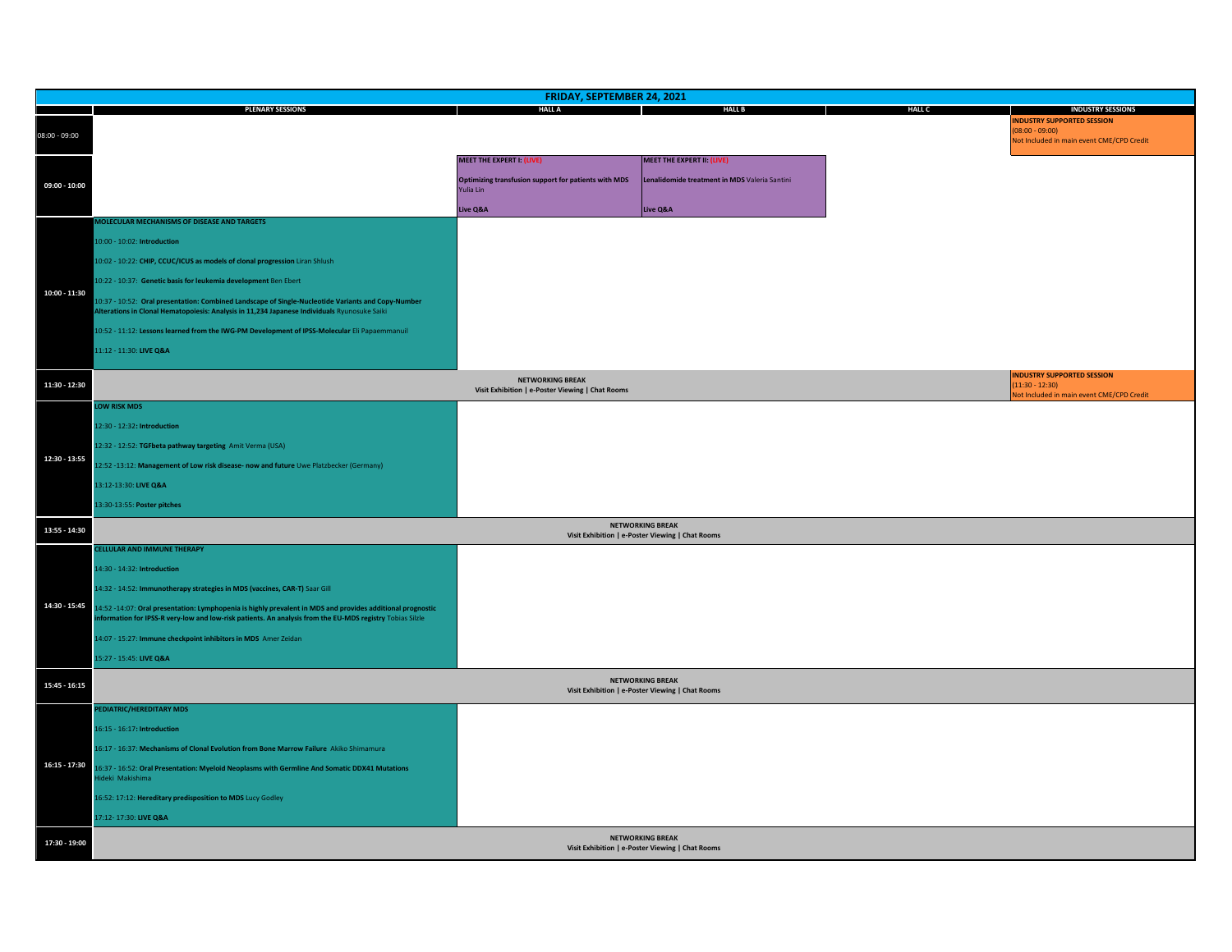|                 | FRIDAY, SEPTEMBER 24, 2021                                                                                                                                                                         |                                                                             |                                                                             |               |                                                                                                                                |  |  |
|-----------------|----------------------------------------------------------------------------------------------------------------------------------------------------------------------------------------------------|-----------------------------------------------------------------------------|-----------------------------------------------------------------------------|---------------|--------------------------------------------------------------------------------------------------------------------------------|--|--|
| $08:00 - 09:00$ | <b>PLENARY SESSIONS</b>                                                                                                                                                                            | <b>HALL A</b>                                                               | <b>HALL B</b>                                                               | <b>HALL C</b> | <b>INDUSTRY SESSIONS</b><br><b>NDUSTRY SUPPORTED SESSION</b><br>$(08:00 - 09:00)$<br>Not Included in main event CME/CPD Credit |  |  |
|                 |                                                                                                                                                                                                    | <b>MEET THE EXPERT I: (LIVE)</b>                                            | MEET THE EXPERT II: (LIVE)                                                  |               |                                                                                                                                |  |  |
| $09:00 - 10:00$ |                                                                                                                                                                                                    | Optimizing transfusion support for patients with MDS<br>Yulia Lin           | Lenalidomide treatment in MDS Valeria Santini                               |               |                                                                                                                                |  |  |
|                 |                                                                                                                                                                                                    | Live Q&A                                                                    | Live Q&A                                                                    |               |                                                                                                                                |  |  |
|                 | MOLECULAR MECHANISMS OF DISEASE AND TARGETS                                                                                                                                                        |                                                                             |                                                                             |               |                                                                                                                                |  |  |
|                 | 10:00 - 10:02: Introduction                                                                                                                                                                        |                                                                             |                                                                             |               |                                                                                                                                |  |  |
|                 | 10:02 - 10:22: CHIP, CCUC/ICUS as models of clonal progression Liran Shlush                                                                                                                        |                                                                             |                                                                             |               |                                                                                                                                |  |  |
|                 | 10:22 - 10:37: Genetic basis for leukemia development Ben Ebert                                                                                                                                    |                                                                             |                                                                             |               |                                                                                                                                |  |  |
| 10:00 - 11:30   | 10:37 - 10:52: Oral presentation: Combined Landscape of Single-Nucleotide Variants and Copy-Number<br>Alterations in Clonal Hematopoiesis: Analysis in 11,234 Japanese Individuals Ryunosuke Saiki |                                                                             |                                                                             |               |                                                                                                                                |  |  |
|                 | 10:52 - 11:12: Lessons learned from the IWG-PM Development of IPSS-Molecular Eli Papaemmanuil                                                                                                      |                                                                             |                                                                             |               |                                                                                                                                |  |  |
|                 | 11:12 - 11:30: LIVE Q&A                                                                                                                                                                            |                                                                             |                                                                             |               |                                                                                                                                |  |  |
|                 |                                                                                                                                                                                                    |                                                                             |                                                                             |               | <b>INDUSTRY SUPPORTED SESSION</b>                                                                                              |  |  |
| 11:30 - 12:30   |                                                                                                                                                                                                    | <b>NETWORKING BREAK</b><br>Visit Exhibition   e-Poster Viewing   Chat Rooms |                                                                             |               | $(11:30 - 12:30)$<br>Not Included in main event CME/CPD Credit                                                                 |  |  |
|                 | <b>LOW RISK MDS</b>                                                                                                                                                                                |                                                                             |                                                                             |               |                                                                                                                                |  |  |
|                 | 12:30 - 12:32: Introduction                                                                                                                                                                        |                                                                             |                                                                             |               |                                                                                                                                |  |  |
|                 | 12:32 - 12:52: TGFbeta pathway targeting Amit Verma (USA)                                                                                                                                          |                                                                             |                                                                             |               |                                                                                                                                |  |  |
| 12:30 - 13:55   | 12:52 -13:12: Management of Low risk disease- now and future Uwe Platzbecker (Germany)                                                                                                             |                                                                             |                                                                             |               |                                                                                                                                |  |  |
|                 | 13:12-13:30: LIVE Q&A                                                                                                                                                                              |                                                                             |                                                                             |               |                                                                                                                                |  |  |
|                 | 13:30-13:55: Poster pitches                                                                                                                                                                        |                                                                             |                                                                             |               |                                                                                                                                |  |  |
| 13:55 - 14:30   |                                                                                                                                                                                                    |                                                                             | <b>NETWORKING BREAK</b>                                                     |               |                                                                                                                                |  |  |
|                 | CELLULAR AND IMMUNE THERAPY                                                                                                                                                                        |                                                                             | Visit Exhibition   e-Poster Viewing   Chat Rooms                            |               |                                                                                                                                |  |  |
|                 | 14:30 - 14:32: Introduction                                                                                                                                                                        |                                                                             |                                                                             |               |                                                                                                                                |  |  |
|                 | 14:32 - 14:52: Immunotherapy strategies in MDS (vaccines, CAR-T) Saar Gill                                                                                                                         |                                                                             |                                                                             |               |                                                                                                                                |  |  |
| 14:30 - 15:45   | 14:52 -14:07: Oral presentation: Lymphopenia is highly prevalent in MDS and provides additional prognostic                                                                                         |                                                                             |                                                                             |               |                                                                                                                                |  |  |
|                 | information for IPSS-R very-low and low-risk patients. An analysis from the EU-MDS registry Tobias Silzle                                                                                          |                                                                             |                                                                             |               |                                                                                                                                |  |  |
|                 | 14:07 - 15:27: Immune checkpoint inhibitors in MDS Amer Zeidan                                                                                                                                     |                                                                             |                                                                             |               |                                                                                                                                |  |  |
|                 | 15:27 - 15:45: LIVE Q&A                                                                                                                                                                            |                                                                             |                                                                             |               |                                                                                                                                |  |  |
| $15:45 - 16:15$ |                                                                                                                                                                                                    |                                                                             | <b>NETWORKING BREAK</b><br>Visit Exhibition   e-Poster Viewing   Chat Rooms |               |                                                                                                                                |  |  |
| $16:15 - 17:30$ | PEDIATRIC/HEREDITARY MDS                                                                                                                                                                           |                                                                             |                                                                             |               |                                                                                                                                |  |  |
|                 | 16:15 - 16:17: Introduction                                                                                                                                                                        |                                                                             |                                                                             |               |                                                                                                                                |  |  |
|                 | 16:17 - 16:37: Mechanisms of Clonal Evolution from Bone Marrow Failure Akiko Shimamura                                                                                                             |                                                                             |                                                                             |               |                                                                                                                                |  |  |
|                 | 16:37 - 16:52: Oral Presentation: Myeloid Neoplasms with Germline And Somatic DDX41 Mutations<br>Hideki Makishima                                                                                  |                                                                             |                                                                             |               |                                                                                                                                |  |  |
|                 | 16:52: 17:12: Hereditary predisposition to MDS Lucy Godley                                                                                                                                         |                                                                             |                                                                             |               |                                                                                                                                |  |  |
|                 | 17:12-17:30: LIVE Q&A                                                                                                                                                                              |                                                                             |                                                                             |               |                                                                                                                                |  |  |
| 17:30 - 19:00   |                                                                                                                                                                                                    |                                                                             | <b>NETWORKING BREAK</b><br>Visit Exhibition   e-Poster Viewing   Chat Rooms |               |                                                                                                                                |  |  |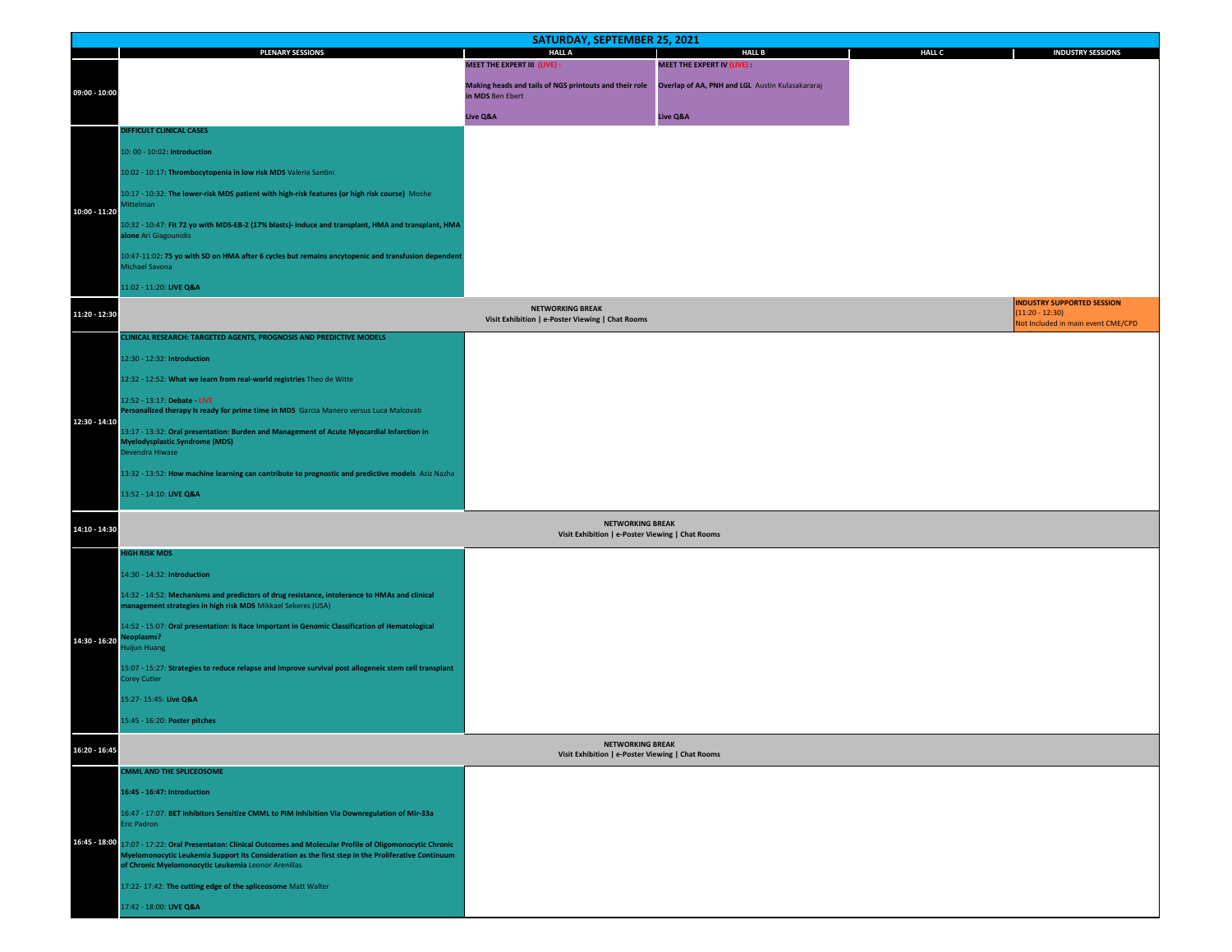|                 | SATURDAY, SEPTEMBER 25, 2021                                                                                                                                                                                                                                    |                                                                             |                                                 |               |                                                                                              |  |  |
|-----------------|-----------------------------------------------------------------------------------------------------------------------------------------------------------------------------------------------------------------------------------------------------------------|-----------------------------------------------------------------------------|-------------------------------------------------|---------------|----------------------------------------------------------------------------------------------|--|--|
|                 | <b>PLENARY SESSIONS</b>                                                                                                                                                                                                                                         | <b>HALL A</b><br><b>MEET THE EXPERT III (LIVE):</b>                         | <b>HALL B</b><br>MEET THE EXPERT IV (LIVE) :    | <b>HALL C</b> | <b>INDUSTRY SESSIONS</b>                                                                     |  |  |
| $09:00 - 10:00$ |                                                                                                                                                                                                                                                                 | Making heads and tails of NGS printouts and their role                      | Overlap of AA, PNH and LGL Austin Kulasakararaj |               |                                                                                              |  |  |
|                 |                                                                                                                                                                                                                                                                 | in MDS Ben Ebert                                                            |                                                 |               |                                                                                              |  |  |
|                 | DIFFICULT CLINICAL CASES                                                                                                                                                                                                                                        | Live Q&A                                                                    | Live Q&A                                        |               |                                                                                              |  |  |
| 10:00 - 11:20   | 10: 00 - 10:02: Introduction                                                                                                                                                                                                                                    |                                                                             |                                                 |               |                                                                                              |  |  |
|                 | 10:02 - 10:17: Thrombocytopenia in low risk MDS Valeria Santini                                                                                                                                                                                                 |                                                                             |                                                 |               |                                                                                              |  |  |
|                 | 10:17 - 10:32: The lower-risk MDS patient with high-risk features (or high risk course) Moshe                                                                                                                                                                   |                                                                             |                                                 |               |                                                                                              |  |  |
|                 | <b>littelman</b>                                                                                                                                                                                                                                                |                                                                             |                                                 |               |                                                                                              |  |  |
|                 | 10:32 - 10:47: Fit 72 yo with MDS-EB-2 (17% blasts)- induce and transplant, HMA and transplant, HMA<br>alone Ari Giagounidis                                                                                                                                    |                                                                             |                                                 |               |                                                                                              |  |  |
|                 | 10:47-11:02: 75 yo with SD on HMA after 6 cycles but remains ancytopenic and transfusion dependent<br>Michael Savona                                                                                                                                            |                                                                             |                                                 |               |                                                                                              |  |  |
|                 | 11:02 - 11:20: LIVE Q&A                                                                                                                                                                                                                                         |                                                                             |                                                 |               |                                                                                              |  |  |
| 11:20 - 12:30   |                                                                                                                                                                                                                                                                 | <b>NETWORKING BREAK</b><br>Visit Exhibition   e-Poster Viewing   Chat Rooms |                                                 |               | <b>INDUSTRY SUPPORTED SESSION</b><br>$(11:20 - 12:30)$<br>Not Included in main event CME/CPD |  |  |
|                 | CLINICAL RESEARCH: TARGETED AGENTS, PROGNOSIS AND PREDICTIVE MODELS                                                                                                                                                                                             |                                                                             |                                                 |               |                                                                                              |  |  |
|                 | 12:30 - 12:32: Introduction                                                                                                                                                                                                                                     |                                                                             |                                                 |               |                                                                                              |  |  |
|                 | 12:32 - 12:52: What we learn from real-world registries Theo de Witte                                                                                                                                                                                           |                                                                             |                                                 |               |                                                                                              |  |  |
|                 | 12:52 - 13:17: Debate - LIVE<br>Personalized therapy Is ready for prime time in MDS Garcia Manero versus Luca Malcovati                                                                                                                                         |                                                                             |                                                 |               |                                                                                              |  |  |
| 12:30 - 14:10   | 13:17 - 13:32: Oral presentation: Burden and Management of Acute Myocardial Infarction in<br><b>Myelodysplastic Syndrome (MDS)</b><br>Devendra Hiwase                                                                                                           |                                                                             |                                                 |               |                                                                                              |  |  |
|                 | 13:32 - 13:52: How machine learning can contribute to prognostic and predictive models Aziz Nazha                                                                                                                                                               |                                                                             |                                                 |               |                                                                                              |  |  |
|                 | 13:52 - 14:10: LIVE Q&A                                                                                                                                                                                                                                         |                                                                             |                                                 |               |                                                                                              |  |  |
|                 |                                                                                                                                                                                                                                                                 |                                                                             |                                                 |               |                                                                                              |  |  |
| 14:10 - 14:30   |                                                                                                                                                                                                                                                                 | <b>NETWORKING BREAK</b><br>Visit Exhibition   e-Poster Viewing   Chat Rooms |                                                 |               |                                                                                              |  |  |
|                 | <b>HIGH RISK MDS</b>                                                                                                                                                                                                                                            |                                                                             |                                                 |               |                                                                                              |  |  |
|                 | 14:30 - 14:32: Introduction                                                                                                                                                                                                                                     |                                                                             |                                                 |               |                                                                                              |  |  |
|                 | 14:32 - 14:52: Mechanisms and predictors of drug resistance, intolerance to HMAs and clinical<br>management strategies in high risk MDS Mikkael Sekeres (USA)                                                                                                   |                                                                             |                                                 |               |                                                                                              |  |  |
| 14:30 - 16:20   | 14:52 - 15:07: Oral presentation: Is Race Important in Genomic Classification of Hematological<br><b>Neoplasms?</b><br>luijun Huang                                                                                                                             |                                                                             |                                                 |               |                                                                                              |  |  |
|                 | 15:07 - 15:27: Strategies to reduce relapse and improve survival post allogeneic stem cell transplant<br>Corey Cutler                                                                                                                                           |                                                                             |                                                 |               |                                                                                              |  |  |
|                 | 15:27-15:45: Live Q&A                                                                                                                                                                                                                                           |                                                                             |                                                 |               |                                                                                              |  |  |
|                 | 15:45 - 16:20: Poster pitches                                                                                                                                                                                                                                   |                                                                             |                                                 |               |                                                                                              |  |  |
| 16:20 - 16:45   |                                                                                                                                                                                                                                                                 | <b>NETWORKING BREAK</b><br>Visit Exhibition   e-Poster Viewing   Chat Rooms |                                                 |               |                                                                                              |  |  |
| $16:45 - 18:00$ | <b>CMML AND THE SPLICEOSOME</b>                                                                                                                                                                                                                                 |                                                                             |                                                 |               |                                                                                              |  |  |
|                 | 16:45 - 16:47: Introduction                                                                                                                                                                                                                                     |                                                                             |                                                 |               |                                                                                              |  |  |
|                 | 16:47 - 17:07: BET Inhibitors Sensitize CMML to PIM Inhibition Via Downregulation of Mir-33a<br>Eric Padron                                                                                                                                                     |                                                                             |                                                 |               |                                                                                              |  |  |
|                 | 17:07 - 17:22: Oral Presentaton: Clinical Outcomes and Molecular Profile of Oligomonocytic Chronic<br>Myelomonocytic Leukemia Support its Consideration as the first step in the Proliferative Continuum<br>of Chronic Myelomonocytic Leukemia Leonor Arenillas |                                                                             |                                                 |               |                                                                                              |  |  |
|                 | 17:22-17:42: The cutting edge of the spliceosome Matt Walter                                                                                                                                                                                                    |                                                                             |                                                 |               |                                                                                              |  |  |
|                 | 17:42 - 18:00: LIVE Q&A                                                                                                                                                                                                                                         |                                                                             |                                                 |               |                                                                                              |  |  |